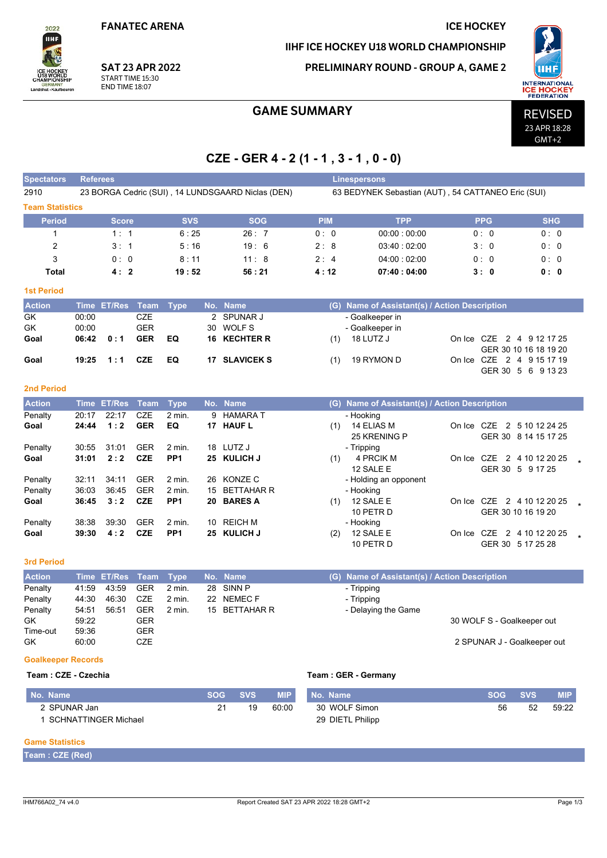**FANATEC ARENA** 

2022 **IIHF** 

Landshut - Kaufbeuren

#### **ICE HOCKEY**

IIHF ICE HOCKEY U18 WORLD CHAMPIONSHIP

### **PRELIMINARY ROUND - GROUP A, GAME 2**



23 APR 18:28  $GMT+2$ 

**SAT 23 APR 2022** START TIME 15:30 **END TIME 18:07** 

# **GAME SUMMARY**

# CZE - GER  $4 - 2(1 - 1, 3 - 1, 0 - 0)$

| <b>Spectators</b>         |             | <b>Referees</b><br><b>Linespersons</b> |             |                 |     |                                                   |                                                    |                                               |                                                |                       |  |  |  |  |  |
|---------------------------|-------------|----------------------------------------|-------------|-----------------|-----|---------------------------------------------------|----------------------------------------------------|-----------------------------------------------|------------------------------------------------|-----------------------|--|--|--|--|--|
| 2910                      |             |                                        |             |                 |     | 23 BORGA Cedric (SUI), 14 LUNDSGAARD Niclas (DEN) | 63 BEDYNEK Sebastian (AUT), 54 CATTANEO Eric (SUI) |                                               |                                                |                       |  |  |  |  |  |
| <b>Team Statistics</b>    |             |                                        |             |                 |     |                                                   |                                                    |                                               |                                                |                       |  |  |  |  |  |
| Period                    |             | <b>Score</b>                           |             | <b>SVS</b>      |     | <b>SOG</b>                                        | <b>PIM</b>                                         | <b>TPP</b>                                    | <b>PPG</b>                                     | <b>SHG</b>            |  |  |  |  |  |
| $\mathbf{1}$              |             | 1:1                                    |             | 6:25            |     | 26:7                                              | 0:0                                                | 00:00:00:00                                   | 0:0                                            | 0:0                   |  |  |  |  |  |
| 2                         |             | 3:1                                    |             | 5:16            |     | 19:6                                              | 2:8                                                | 03:40:02:00                                   | 3:0                                            | 0:0                   |  |  |  |  |  |
| 3                         |             | 0:0                                    |             | 8:11            |     | 11:8                                              | 2:4                                                | 04:00:02:00                                   | 0:0                                            | 0: 0                  |  |  |  |  |  |
| Total                     |             | 4:2                                    |             | 19:52           |     | 56:21                                             | 4:12                                               | 07:40:04:00                                   | 3:0                                            | 0: 0                  |  |  |  |  |  |
| <b>1st Period</b>         |             |                                        |             |                 |     |                                                   |                                                    |                                               |                                                |                       |  |  |  |  |  |
| <b>Action</b>             | <b>Time</b> | <b>ET/Res</b>                          | <b>Team</b> | <b>Type</b>     |     | No. Name                                          |                                                    | (G) Name of Assistant(s) / Action Description |                                                |                       |  |  |  |  |  |
| GK                        | 00:00       |                                        | <b>CZE</b>  |                 |     | 2 SPUNAR J                                        |                                                    | - Goalkeeper in                               |                                                |                       |  |  |  |  |  |
| GK                        | 00:00       |                                        | <b>GER</b>  |                 | 30  | <b>WOLFS</b>                                      |                                                    | - Goalkeeper in                               |                                                |                       |  |  |  |  |  |
| Goal                      | 06:42       | 0:1                                    | <b>GER</b>  | EQ              | 16  | <b>KECHTER R</b>                                  | (1)                                                | 18 LUTZ J                                     | On Ice CZE 2 4 9 12 17 25                      |                       |  |  |  |  |  |
|                           |             |                                        |             |                 |     |                                                   |                                                    |                                               |                                                | GER 30 10 16 18 19 20 |  |  |  |  |  |
| Goal                      | 19:25       | 1:1                                    | <b>CZE</b>  | EQ              |     | 17 SLAVICEK S                                     | (1)                                                | 19 RYMON D                                    | On Ice CZE 2 4 9 15 17 19                      |                       |  |  |  |  |  |
|                           |             |                                        |             |                 |     |                                                   |                                                    |                                               |                                                | GER 30 5 6 9 13 23    |  |  |  |  |  |
| <b>2nd Period</b>         |             |                                        |             |                 |     |                                                   |                                                    |                                               |                                                |                       |  |  |  |  |  |
| <b>Action</b>             |             | Time ET/Res                            | <b>Team</b> | <b>Type</b>     |     | No. Name                                          |                                                    | (G) Name of Assistant(s) / Action Description |                                                |                       |  |  |  |  |  |
| Penalty                   | 20:17       | 22:17                                  | <b>CZE</b>  | 2 min.          | 9   | <b>HAMARA T</b>                                   |                                                    | - Hooking                                     |                                                |                       |  |  |  |  |  |
| Goal                      | 24:44       | 1:2                                    | <b>GER</b>  | EQ              |     | 17 HAUF L                                         | (1)                                                | 14 ELIAS M                                    | On Ice CZE 2 5 10 12 24 25                     |                       |  |  |  |  |  |
|                           |             |                                        |             |                 |     |                                                   |                                                    | 25 KRENING P                                  |                                                | GER 30 8 14 15 17 25  |  |  |  |  |  |
| Penalty                   | 30:55       | 31:01                                  | <b>GER</b>  | $2$ min.        |     | 18 LUTZ J                                         |                                                    | - Tripping                                    |                                                |                       |  |  |  |  |  |
| Goal                      | 31:01       | 2:2                                    | <b>CZE</b>  | PP <sub>1</sub> |     | 25 KULICH J                                       | (1)                                                | 4 PRCIK M<br>12 SALE E                        | On Ice CZE 2 4 10 12 20 25<br>GER 30 5 9 17 25 |                       |  |  |  |  |  |
| Penalty                   | 32:11       | 34:11                                  | <b>GER</b>  | $2$ min.        |     | 26 KONZE C                                        |                                                    | - Holding an opponent                         |                                                |                       |  |  |  |  |  |
| Penalty                   | 36:03       | 36:45                                  | <b>GER</b>  | $2$ min.        | 15  | <b>BETTAHAR R</b>                                 |                                                    | - Hooking                                     |                                                |                       |  |  |  |  |  |
| Goal                      | 36:45       | 3:2                                    | <b>CZE</b>  | PP <sub>1</sub> |     | 20 BARES A                                        | (1)                                                | 12 SALE E                                     | On Ice CZE 2 4 10 12 20 25                     |                       |  |  |  |  |  |
|                           |             |                                        |             |                 |     |                                                   |                                                    | 10 PETR D                                     | GER 30 10 16 19 20                             |                       |  |  |  |  |  |
| Penalty                   | 38:38       | 39:30                                  | <b>GER</b>  | $2$ min.        | 10  | <b>REICH M</b>                                    |                                                    | - Hooking                                     |                                                |                       |  |  |  |  |  |
| Goal                      | 39:30       | 4:2                                    | <b>CZE</b>  | PP <sub>1</sub> |     | 25 KULICH J                                       | (2)                                                | 12 SALE E                                     | On Ice CZE 2 4 10 12 20 25                     |                       |  |  |  |  |  |
|                           |             |                                        |             |                 |     |                                                   |                                                    | 10 PETR D                                     | GER 30 5 17 25 28                              |                       |  |  |  |  |  |
| <b>3rd Period</b>         |             |                                        |             |                 |     |                                                   |                                                    |                                               |                                                |                       |  |  |  |  |  |
| <b>Action</b>             | Time        | <b>ET/Res</b>                          | <b>Team</b> | <b>Type</b>     | No. | <b>Name</b>                                       |                                                    | (G) Name of Assistant(s) / Action Description |                                                |                       |  |  |  |  |  |
| Penalty                   | 41:59       | 43:59                                  | <b>GER</b>  | 2 min.          | 28  | SINN <sub>P</sub>                                 |                                                    | - Tripping                                    |                                                |                       |  |  |  |  |  |
| Penalty                   | 44:30       | 46:30                                  | <b>CZE</b>  | $2$ min.        |     | 22 NEMECF                                         |                                                    | - Tripping                                    |                                                |                       |  |  |  |  |  |
| Penalty                   | 54:51       | 56:51                                  | <b>GER</b>  | $2$ min.        |     | 15 BETTAHAR R                                     |                                                    | - Delaying the Game                           |                                                |                       |  |  |  |  |  |
| GK                        | 59:22       |                                        | <b>GER</b>  |                 |     |                                                   |                                                    |                                               | 30 WOLF S - Goalkeeper out                     |                       |  |  |  |  |  |
| Time-out                  | 59:36       |                                        | <b>GER</b>  |                 |     |                                                   |                                                    |                                               |                                                |                       |  |  |  |  |  |
| GK                        | 60:00       |                                        | <b>CZE</b>  |                 |     |                                                   |                                                    |                                               | 2 SPUNAR J - Goalkeeper out                    |                       |  |  |  |  |  |
| <b>Goalkeeper Records</b> |             |                                        |             |                 |     |                                                   |                                                    |                                               |                                                |                       |  |  |  |  |  |
| Team: CZE - Czechia       |             |                                        |             |                 |     |                                                   |                                                    | Team: GER - Germany                           |                                                |                       |  |  |  |  |  |
|                           |             |                                        |             |                 |     |                                                   |                                                    |                                               |                                                |                       |  |  |  |  |  |

| No. Name             | <b>SOG</b> | <b>SVS</b> | <b>MIP</b> | No. Name         | <b>SOG</b> | <b>SVS</b> | <b>MIP</b> |
|----------------------|------------|------------|------------|------------------|------------|------------|------------|
| 2 SPUNAR Jan         | 21         | 19         | 60:00      | 30 WOLF Simon    | 56         | 52         | 59.22      |
| SCHNATTINGER Michael |            |            |            | 29 DIETL Philipp |            |            |            |

### **Game Statistics**

#### Team : CZE (Red)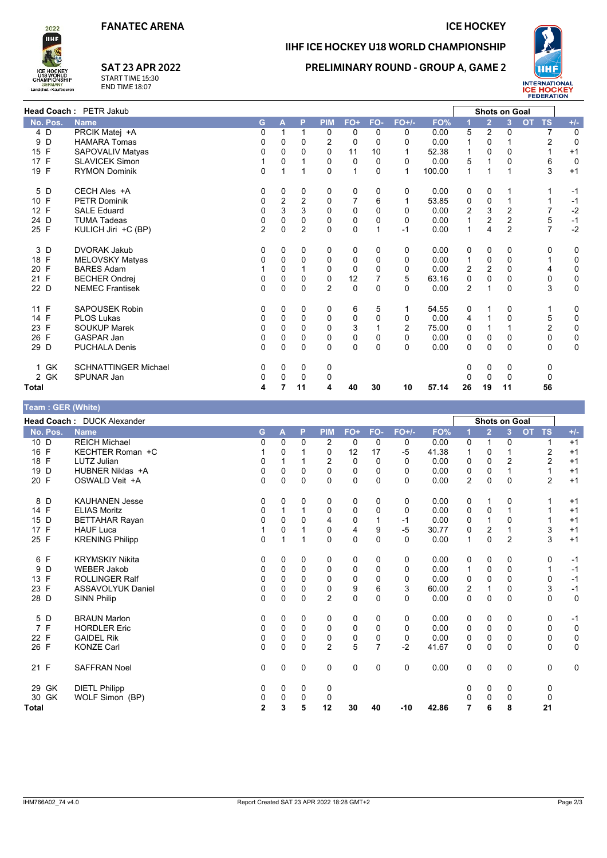

#### **ICE HOCKEY**



2022 **THE** 

### IIHF ICE HOCKEY U18 WORLD CHAMPIONSHIP

## **PRELIMINARY ROUND - GROUP A, GAME 2**



| Head Coach: PETR Jakub |                             |                |          |                         |                |             |             |          |        |                | Shots on Goal  |                |                         |             |
|------------------------|-----------------------------|----------------|----------|-------------------------|----------------|-------------|-------------|----------|--------|----------------|----------------|----------------|-------------------------|-------------|
| No. Pos.               | <b>Name</b>                 | G              | А        | P                       | <b>PIM</b>     | FO+         | FO-         | $FO+/-$  | FO%    |                | $\overline{2}$ | 3              | <b>OT</b><br><b>TS</b>  | $+/-$       |
| 4 D                    | PRCIK Matej +A              | 0              |          |                         | 0              | 0           | 0           | 0        | 0.00   | 5              | 2              | 0              | 7                       | 0           |
| D<br>9                 | <b>HAMARA Tomas</b>         | 0              | 0        | 0                       | $\overline{c}$ | 0           | 0           | 0        | 0.00   |                | 0              |                | 2                       | $\mathbf 0$ |
| 15 F                   | SAPOVALIV Matyas            | 0              | 0        | $\Omega$                | $\mathbf 0$    | 11          | 10          |          | 52.38  | 1              | 0              | $\Omega$       |                         | $+1$        |
| 17 F                   | <b>SLAVICEK Simon</b>       |                | 0        |                         | 0              | 0           | 0           | $\Omega$ | 0.00   | 5              |                | 0              | 6                       | $\mathbf 0$ |
| 19 F                   | <b>RYMON Dominik</b>        | 0              | 1        |                         | 0              | 1           | $\mathbf 0$ | 1        | 100.00 | 1              |                |                | 3                       | $+1$        |
| 5 D                    | CECH Ales +A                | 0              | 0        | 0                       | 0              | 0           | 0           | 0        | 0.00   | 0              | 0              |                |                         | $-1$        |
| F<br>10 <sup>°</sup>   | <b>PETR Dominik</b>         | 0              | 2        | $\overline{\mathbf{c}}$ | 0              |             | 6           |          | 53.85  | 0              | 0              |                |                         | $-1$        |
| 12 F                   | <b>SALE Eduard</b>          | 0              | 3        | 3                       | 0              | 0           | $\Omega$    | 0        | 0.00   | 2              | 3              | 2              | 7                       | $-2$        |
| 24 D                   | <b>TUMA Tadeas</b>          | 0              | $\Omega$ | 0                       | 0              | 0           | $\mathbf 0$ | 0        | 0.00   | 1              | 2              | $\overline{c}$ | 5                       | $-1$        |
| 25 F                   | KULICH Jiri +C (BP)         | $\overline{2}$ | 0        | $\overline{2}$          | 0              | 0           | 1           | $-1$     | 0.00   | 1              | 4              | $\overline{2}$ | 7                       | $-2$        |
| 3 D                    | <b>DVORAK Jakub</b>         | 0              | 0        | 0                       | 0              | 0           | 0           | 0        | 0.00   | 0              | 0              | 0              | 0                       | 0           |
| 18 F                   | <b>MELOVSKY Matyas</b>      | 0              | 0        | 0                       | 0              | 0           | 0           | 0        | 0.00   | 1              | 0              | 0              | 1                       | 0           |
| 20 F                   | <b>BARES Adam</b>           |                | $\Omega$ |                         | 0              | $\mathbf 0$ | $\Omega$    | 0        | 0.00   | 2              | 2              | 0              | 4                       | 0           |
| $\mathsf{F}$<br>21     | <b>BECHER Ondrej</b>        | 0              | 0        | 0                       | 0              | 12          | 7           | 5        | 63.16  | 0              | 0              | 0              | 0                       | 0           |
| 22 D                   | <b>NEMEC Frantisek</b>      | 0              | $\Omega$ | $\Omega$                | $\overline{2}$ | 0           | $\Omega$    | $\Omega$ | 0.00   | $\overline{2}$ |                | 0              | 3                       | 0           |
| 11 F                   | <b>SAPOUSEK Robin</b>       | 0              | 0        | 0                       | 0              | 6           | 5           | 1        | 54.55  | 0              |                | 0              |                         | 0           |
| 14 F                   | <b>PLOS Lukas</b>           | 0              | 0        | 0                       | 0              | 0           | 0           | 0        | 0.00   | 4              |                | 0              | 5                       | 0           |
| F<br>23                | <b>SOUKUP Marek</b>         | 0              | 0        | 0                       | 0              | 3           |             | 2        | 75.00  | 0              |                |                | $\overline{\mathbf{c}}$ | 0           |
| $\mathsf{F}$<br>26     | GASPAR Jan                  | 0              | 0        | 0                       | 0              | 0           | 0           | 0        | 0.00   | 0              | 0              | 0              | 0                       | 0           |
| 29 D                   | <b>PUCHALA Denis</b>        | 0              | $\Omega$ | 0                       | $\Omega$       | 0           | $\Omega$    | 0        | 0.00   | 0              | $\mathbf 0$    | 0              | 0                       | 0           |
| 1 GK                   | <b>SCHNATTINGER Michael</b> | 0              | 0        | 0                       | 0              |             |             |          |        | 0              | 0              | 0              | 0                       |             |
| 2 GK                   | <b>SPUNAR Jan</b>           | 0              | $\Omega$ | 0                       | 0              |             |             |          |        | U              | 0              | $\Omega$       | 0                       |             |
| <b>Total</b>           |                             | 4              |          | 11                      | 4              | 40          | 30          | 10       | 57.14  | 26             | 19             | 11             | 56                      |             |

### Team: GER (White)

|              | Head Coach: DUCK Alexander |                |             |             |                |             |                |             |       |                | <b>Shots on Goal</b> |                |                        |             |
|--------------|----------------------------|----------------|-------------|-------------|----------------|-------------|----------------|-------------|-------|----------------|----------------------|----------------|------------------------|-------------|
| No. Pos.     | <b>Name</b>                | G              | А           | P           | <b>PIM</b>     | FO+         | FO-            | $FO+/-$     | FO%   |                | $\overline{2}$       | 3              | <b>OT</b><br><b>TS</b> | $+/-$       |
| $10\quad D$  | <b>REICH Michael</b>       | 0              | $\Omega$    | $\Omega$    | 2              | 0           | 0              | 0           | 0.00  | 0              | 1                    | 0              |                        | $+1$        |
| 16 F         | KECHTER Roman +C           |                | 0           |             | 0              | 12          | 17             | $-5$        | 41.38 | 1              | 0                    |                | 2                      | $+1$        |
| 18 F         | LUTZ Julian                | 0              |             |             | 2              | 0           | 0              | 0           | 0.00  | 0              | $\Omega$             | 2              | 2                      | $+1$        |
| D<br>19      | HUBNER Niklas +A           | $\mathbf 0$    | 0           | 0           | 0              | 0           | 0              | 0           | 0.00  | 0              | 0                    |                |                        | $+1$        |
| 20 F         | OSWALD Veit +A             | $\mathbf{0}$   | $\Omega$    | $\Omega$    | $\Omega$       | $\mathbf 0$ | $\Omega$       | $\Omega$    | 0.00  | $\overline{2}$ | $\Omega$             | $\Omega$       | $\overline{2}$         | $+1$        |
| 8<br>D       | <b>KAUHANEN Jesse</b>      | 0              | 0           | 0           | 0              | 0           | 0              | 0           | 0.00  | 0              | 1                    | 0              |                        | $+1$        |
| 14 F         | <b>ELIAS Moritz</b>        | 0              | 1           |             | 0              | 0           | 0              | 0           | 0.00  | 0              | 0                    | $\mathbf 1$    |                        | $+1$        |
| D<br>15      | <b>BETTAHAR Rayan</b>      | 0              | 0           | 0           | 4              | 0           |                | $-1$        | 0.00  | 0              |                      | 0              |                        | $+1$        |
| 17 F         | <b>HAUF Luca</b>           |                | $\Omega$    |             | 0              | 4           | 9              | $-5$        | 30.77 | 0              | $\overline{2}$       |                | 3                      | $+1$        |
| 25 F         | <b>KRENING Philipp</b>     | $\mathbf 0$    | 1           |             | 0              | 0           | 0              | 0           | 0.00  | $\mathbf{1}$   | 0                    | $\overline{2}$ | 3                      | $+1$        |
| 6 F          | <b>KRYMSKIY Nikita</b>     | 0              | 0           | 0           | 0              | 0           | 0              | 0           | 0.00  | 0              | 0                    | 0              | 0                      | $-1$        |
| D<br>9       | <b>WEBER Jakob</b>         | 0              | 0           | $\Omega$    | 0              | 0           | 0              | 0           | 0.00  | 1              | 0                    | 0              | 1                      | $-1$        |
| F<br>13      | <b>ROLLINGER Ralf</b>      | $\Omega$       | $\Omega$    | 0           | 0              | 0           | 0              | $\Omega$    | 0.00  | 0              | 0                    | 0              | 0                      | $-1$        |
| 23<br>F      | <b>ASSAVOLYUK Daniel</b>   | 0              | 0           | 0           | 0              | 9           | 6              | 3           | 60.00 | 2              |                      | 0              | 3                      | $-1$        |
| 28 D         | <b>SINN Philip</b>         | $\mathbf{0}$   | $\Omega$    | $\Omega$    | $\overline{2}$ | $\mathbf 0$ | $\Omega$       | $\Omega$    | 0.00  | 0              | $\Omega$             | 0              | $\Omega$               | $\mathbf 0$ |
| 5 D          | <b>BRAUN Marlon</b>        | 0              | 0           | 0           | 0              | 0           | 0              | 0           | 0.00  | 0              | 0                    | 0              | 0                      | $-1$        |
| F<br>7       | <b>HORDLER Eric</b>        | 0              | 0           | $\Omega$    | 0              | 0           | 0              | 0           | 0.00  | 0              | 0                    | 0              | 0                      | $\mathbf 0$ |
| F<br>22      | <b>GAIDEL Rik</b>          | $\mathbf 0$    | $\mathbf 0$ | $\mathbf 0$ | 0              | 0           | 0              | $\mathbf 0$ | 0.00  | 0              | 0                    | 0              | 0                      | 0           |
| 26 F         | <b>KONZE Carl</b>          | $\Omega$       | $\Omega$    | $\Omega$    | $\overline{2}$ | 5           | $\overline{7}$ | $-2$        | 41.67 | 0              | $\Omega$             | 0              | $\Omega$               | 0           |
| 21 F         | <b>SAFFRAN Noel</b>        | 0              | $\mathbf 0$ | 0           | 0              | 0           | 0              | $\Omega$    | 0.00  | 0              | $\mathbf 0$          | 0              | 0                      | 0           |
| 29 GK        | <b>DIETL Philipp</b>       | 0              | 0           | 0           | 0              |             |                |             |       | 0              | 0                    | 0              | 0                      |             |
| 30 GK        | WOLF Simon (BP)            | 0              | 0           | 0           | 0              |             |                |             |       | 0              | 0                    | 0              | 0                      |             |
| <b>Total</b> |                            | $\overline{2}$ | 3           | 5           | 12             | 30          | 40             | -10         | 42.86 | 7              | 6                    | 8              | 21                     |             |